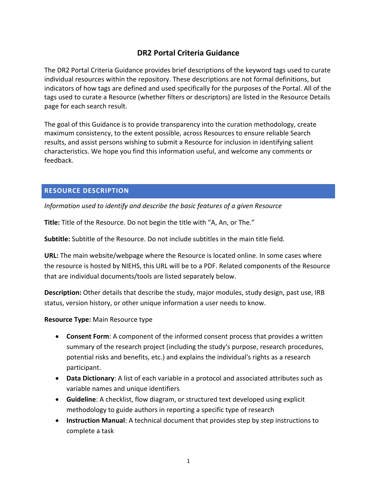# **DR2 Portal Criteria Guidance**

 indicators of how tags are defined and used specifically for the purposes of the Portal. All of the The DR2 Portal Criteria Guidance provides brief descriptions of the keyword tags used to curate individual resources within the repository. These descriptions are not formal definitions, but tags used to curate a Resource (whether filters or descriptors) are listed in the Resource Details page for each search result.

The goal of this Guidance is to provide transparency into the curation methodology, create maximum consistency, to the extent possible, across Resources to ensure reliable Search results, and assist persons wishing to submit a Resource for inclusion in identifying salient characteristics. We hope you find this information useful, and welcome any comments or feedback.

## **RESOURCE DESCRIPTION**

*Information used to identify and describe the basic features of a given Resource* 

**Title:** Title of the Resource. Do not begin the title with "A, An, or The."

**Subtitle:** Subtitle of the Resource. Do not include subtitles in the main title field.

**URL:** The main website/webpage where the Resource is located online. In some cases where the resource is hosted by NIEHS, this URL will be to a PDF. Related components of the Resource that are individual documents/tools are listed separately below.

 status, version history, or other unique information a user needs to know. **Description:** Other details that describe the study, major modules, study design, past use, IRB

## **Resource Type:** Main Resource type

- participant. • **Consent Form**: A component of the informed consent process that provides a written summary of the research project (including the study's purpose, research procedures, potential risks and benefits, etc.) and explains the individual's rights as a research
- **Data Dictionary**: A list of each variable in a protocol and associated attributes such as variable names and unique identifiers
- **Guideline**: A checklist, flow diagram, or structured text developed using explicit methodology to guide authors in reporting a specific type of research
- **Instruction Manual**: A technical document that provides step by step instructions to complete a task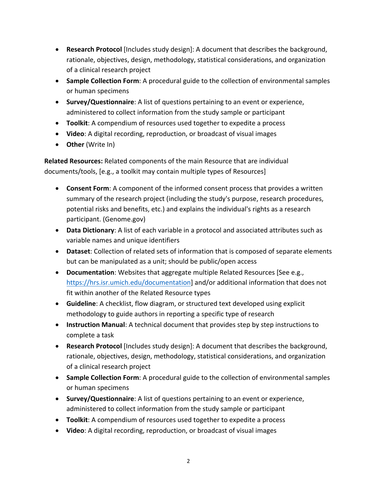- **Research Protocol** [Includes study design]: A document that describes the background, rationale, objectives, design, methodology, statistical considerations, and organization of a clinical research project
- **Sample Collection Form**: A procedural guide to the collection of environmental samples or human specimens
- **Survey/Questionnaire**: A list of questions pertaining to an event or experience, administered to collect information from the study sample or participant
- **Toolkit**: A compendium of resources used together to expedite a process
- **Video**: A digital recording, reproduction, or broadcast of visual images
- **Other** (Write In)

 documents/tools, [e.g., a toolkit may contain multiple types of Resources] **Related Resources:** Related components of the main Resource that are individual

- **Consent Form**: A component of the informed consent process that provides a written summary of the research project (including the study's purpose, research procedures, potential risks and benefits, etc.) and explains the individual's rights as a research participant. ([Genome.gov\)](https://Genome.gov)
- **Data Dictionary**: A list of each variable in a protocol and associated attributes such as variable names and unique identifiers
- **Dataset**: Collection of related sets of information that is composed of separate elements but can be manipulated as a unit; should be public/open access
- **Documentation**: Websites that aggregate multiple Related Resources [See e.g., [https://hrs.isr.umich.edu/documentation\]](https://hrs.isr.umich.edu/documentation) and/or additional information that does not fit within another of the Related Resource types
- **Guideline**: A checklist, flow diagram, or structured text developed using explicit methodology to guide authors in reporting a specific type of research
- **Instruction Manual**: A technical document that provides step by step instructions to complete a task
- **Research Protocol** [Includes study design]: A document that describes the background, rationale, objectives, design, methodology, statistical considerations, and organization of a clinical research project
- **Sample Collection Form**: A procedural guide to the collection of environmental samples or human specimens
- **Survey/Questionnaire**: A list of questions pertaining to an event or experience, administered to collect information from the study sample or participant
- **Toolkit**: A compendium of resources used together to expedite a process
- **Video**: A digital recording, reproduction, or broadcast of visual images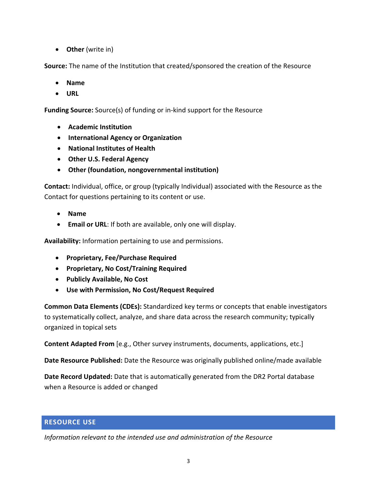• **Other** (write in)

**Source:** The name of the Institution that created/sponsored the creation of the Resource

- **Name**
- **URL**

**Funding Source:** Source(s) of funding or in-kind support for the Resource

- **Academic Institution**
- **International Agency or Organization**
- **National Institutes of Health**
- **Other U.S. Federal Agency**
- **Other (foundation, nongovernmental institution)**

**Contact:** Individual, office, or group (typically Individual) associated with the Resource as the Contact for questions pertaining to its content or use.

- **Name**
- **Email or URL**: If both are available, only one will display.

**Availability:** Information pertaining to use and permissions.

- **Proprietary, Fee/Purchase Required**
- **Proprietary, No Cost/Training Required**
- **Publicly Available, No Cost**
- **Use with Permission, No Cost/Request Required**

**Common Data Elements (CDEs):** Standardized key terms or concepts that enable investigators to systematically collect, analyze, and share data across the research community; typically organized in topical sets

**Content Adapted From** [e.g., Other survey instruments, documents, applications, etc.]

**Date Resource Published:** Date the Resource was originally published online/made available

**Date Record Updated:** Date that is automatically generated from the DR2 Portal database when a Resource is added or changed

## **RESOURCE USE**

*Information relevant to the intended use and administration of the Resource*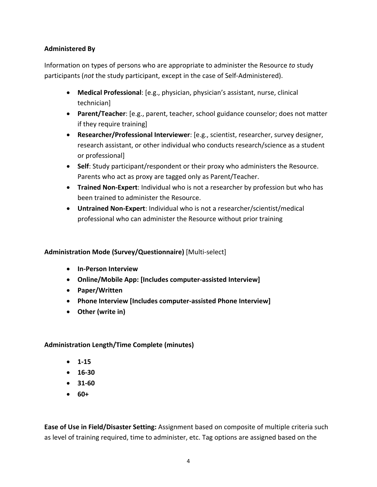## **Administered By**

 Information on types of persons who are appropriate to administer the Resource *to* study participants (*not* the study participant, except in the case of Self-Administered).

- **Medical Professional**: [e.g., physician, physician's assistant, nurse, clinical technician]
- • **Parent/Teacher**: [e.g., parent, teacher, school guidance counselor; does not matter if they require training]
- **Researcher/Professional Interviewer**: [e.g., scientist, researcher, survey designer, research assistant, or other individual who conducts research/science as a student or professional]
- **Self**: Study participant/respondent or their proxy who administers the Resource. Parents who act as proxy are tagged only as Parent/Teacher.
- **Trained Non-Expert**: Individual who is not a researcher by profession but who has been trained to administer the Resource.
- **Untrained Non-Expert**: Individual who is not a researcher/scientist/medical professional who can administer the Resource without prior training

## **Administration Mode (Survey/Questionnaire)** [Multi-select]

- **In-Person Interview**
- **Online/Mobile App: [Includes computer-assisted Interview]**
- **Paper/Written**
- **Phone Interview [Includes computer-assisted Phone Interview]**
- **Other (write in)**

## **Administration Length/Time Complete (minutes)**

- **1-15**
- **16-30**
- **31-60**
- **60+**

 as level of training required, time to administer, etc. Tag options are assigned based on the **Ease of Use in Field/Disaster Setting:** Assignment based on composite of multiple criteria such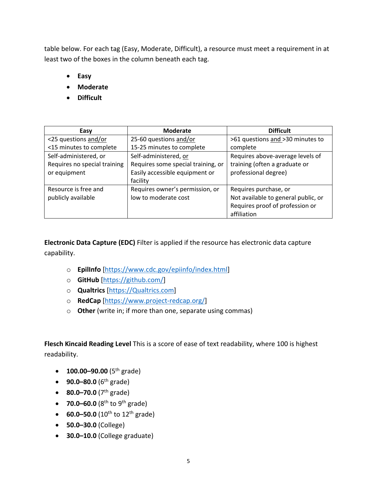table below. For each tag (Easy, Moderate, Difficult), a resource must meet a requirement in at least two of the boxes in the column beneath each tag.

- **Easy**
- **Moderate**
- **Difficult**

| Easy                         | <b>Moderate</b>                    | <b>Difficult</b>                    |
|------------------------------|------------------------------------|-------------------------------------|
| <25 questions and/or         | 25-60 questions and/or             | >61 questions and >30 minutes to    |
| <15 minutes to complete      | 15-25 minutes to complete          | complete                            |
| Self-administered, or        | Self-administered, or              | Requires above-average levels of    |
| Requires no special training | Requires some special training, or | training (often a graduate or       |
| or equipment                 | Easily accessible equipment or     | professional degree)                |
|                              | facility                           |                                     |
| Resource is free and         | Requires owner's permission, or    | Requires purchase, or               |
| publicly available           | low to moderate cost               | Not available to general public, or |
|                              |                                    | Requires proof of profession or     |
|                              |                                    | affiliation                         |

 capability. **Electronic Data Capture (EDC)** Filter is applied if the resource has electronic data capture

- o **EpilInfo** [\[https://www.cdc.gov/epiinfo/index.html\]](https://www.cdc.gov/epiinfo/index.html)
- o **GitHub** [\[https://github.com/\]](https://github.com/)
- o **Qualtrics** [\[https://Qualtrics.com\]](https://qualtrics.com/)
- o **RedCap** [\[https://www.project-redcap.org/\]](https://www.project-redcap.org/)
- o **Other** (write in; if more than one, separate using commas)

**Flesch Kincaid Reading Level** This is a score of ease of text readability, where 100 is highest readability.

- **[100.00–90.00](https://100.00�90.00)** (5<sup>th</sup> grade)
- **90.0–80.0** (6th grade)
- **80.0–70.0** (7th grade)
- **70.0–60.0** (8th to 9th grade)
- **60.0–50.0** (10<sup>th</sup> to 12<sup>th</sup> grade)
- **50.0–30.0** (College)
- **30.0–10.0** (College graduate)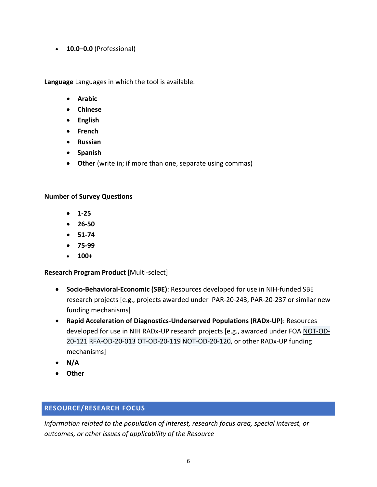• **10.0–0.0** (Professional)

**Language** Languages in which the tool is available.

- **Arabic**
- **Chinese**
- **English**
- **French**
- **Russian**
- **Spanish**
- **Other** (write in; if more than one, separate using commas)

#### **Number of Survey Questions**

- **1-25**
- **26-50**
- **51-74**
- **75-99**
- **100+**

**Research Program Product** [Multi-select]

- research projects [e.g., projects awarded under [PAR-20-243,](https://grants.nih.gov/grants/guide/pa-files/PAR-20-243.html) [PAR-20-237](https://grants.nih.gov/grants/guide/pa-files/PAR-20-237.html) or similar new • **Socio-Behavioral-Economic (SBE)**: Resources developed for use in NIH-funded SBE funding mechanisms]
- **Rapid Acceleration of Diagnostics-Underserved Populations (RADx-UP)**: Resources developed for use in NIH RADx-UP research projects [e.g., awarded under FOA [NOT-OD-](https://grants.nih.gov/grants/guide/notice-files/NOT-OD-20-121.html)[20-121](https://grants.nih.gov/grants/guide/notice-files/NOT-OD-20-121.html) [RFA-OD-20-013](https://grants.nih.gov/grants/guide/rfa-files/RFA-OD-20-013.html) [OT-OD-20-119](https://grants.nih.gov/grants/guide/notice-files/NOT-OD-20-119.html) [NOT-OD-20-120,](https://grants.nih.gov/grants/guide/notice-files/NOT-OD-20-120.html) or other RADx-UP funding mechanisms]
- **N/A**
- **Other**

## **RESOURCE/RESEARCH FOCUS**

 *outcomes, or other issues of applicability of the Resource Information related to the population of interest, research focus area, special interest, or*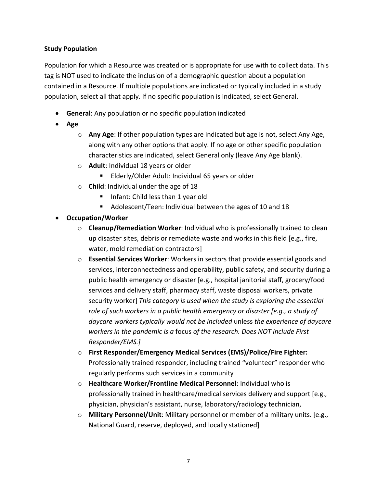## **Study Population**

 contained in a Resource. If multiple populations are indicated or typically included in a study Population for which a Resource was created or is appropriate for use with to collect data. This tag is NOT used to indicate the inclusion of a demographic question about a population population, select all that apply. If no specific population is indicated, select General.

- **General**: Any population or no specific population indicated
- **Age** 
	- o **Any Age**: If other population types are indicated but age is not, select Any Age, along with any other options that apply. If no age or other specific population characteristics are indicated, select General only (leave Any Age blank).
	- o **Adult**: Individual 18 years or older
		- **Elderly/Older Adult: Individual 65 years or older**
	- o **Child**: Individual under the age of 18
		- **IFM** Infant: Child less than 1 year old
		- Adolescent/Teen: Individual between the ages of 10 and 18
- **Occupation/Worker** 
	- water, mold remediation contractors] o **Cleanup/Remediation Worker**: Individual who is professionally trained to clean up disaster sites, debris or remediate waste and works in this field [e.g., fire,
	- *role of such workers in a public health emergency or disaster [e.g., a study of daycare workers typically would not be included* unless *the experience of daycare workers in the pandemic is a* focus *of the research. Does NOT include First*  o **Essential Services Worker**: Workers in sectors that provide essential goods and services, interconnectedness and operability, public safety, and security during a public health emergency or disaster [e.g., hospital janitorial staff, grocery/food services and delivery staff, pharmacy staff, waste disposal workers, private security worker] *This category is used when the study is exploring the essential Responder/EMS.]*
	- o **First Responder/Emergency Medical Services (EMS)/Police/Fire Fighter:**  Professionally trained responder, including trained "volunteer" responder who regularly performs such services in a community
	- o **Healthcare Worker/Frontline Medical Personnel**: Individual who is professionally trained in healthcare/medical services delivery and support [e.g., physician, physician's assistant, nurse, laboratory/radiology technician,
	- National Guard, reserve, deployed, and locally stationed]<br>7 o **Military Personnel/Unit**: Military personnel or member of a military units. [e.g.,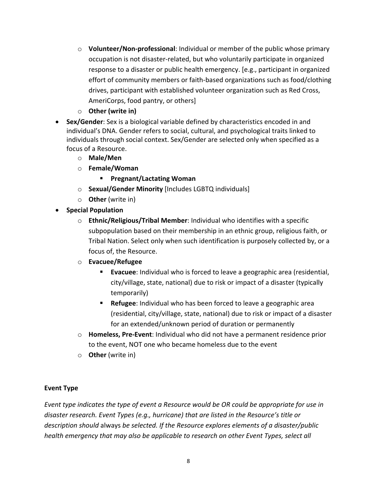- o **Volunteer/Non-professional**: Individual or member of the public whose primary response to a disaster or public health emergency. [e.g., participant in organized occupation is not disaster-related, but who voluntarily participate in organized effort of community members or faith-based organizations such as food/clothing drives, participant with established volunteer organization such as Red Cross, AmeriCorps, food pantry, or others]
- o **Other (write in)**
- **Sex/Gender**: Sex is a biological variable defined by characteristics encoded in and individual's DNA. Gender refers to social, cultural, and psychological traits linked to individuals through social context. Sex/Gender are selected only when specified as a focus of a Resource.
	- o **Male/Men**
	- o **Female/Woman** 
		- **Pregnant/Lactating Woman**
	- o **Sexual/Gender Minority** [Includes LGBTQ individuals]
	- o **Other** (write in)
- **Special Population** 
	- o **Ethnic/Religious/Tribal Member**: Individual who identifies with a specific subpopulation based on their membership in an ethnic group, religious faith, or Tribal Nation. Select only when such identification is purposely collected by, or a focus of, the Resource.
	- o **Evacuee/Refugee** 
		- **Evacuee**: Individual who is forced to leave a geographic area (residential, city/village, state, national) due to risk or impact of a disaster (typically temporarily)
		- **Refugee**: Individual who has been forced to leave a geographic area (residential, city/village, state, national) due to risk or impact of a disaster for an extended/unknown period of duration or permanently
	- o **Homeless, Pre-Event**: Individual who did not have a permanent residence prior to the event, NOT one who became homeless due to the event
	- o **Other** (write in)

## **Event Type**

 *disaster research. Event Types (e.g., hurricane) that are listed in the Resource's title or Event type indicates the type of event a Resource would be OR could be appropriate for use in description should* always *be selected. If the Resource explores elements of a disaster/public health emergency that may also be applicable to research on other Event Types, select all*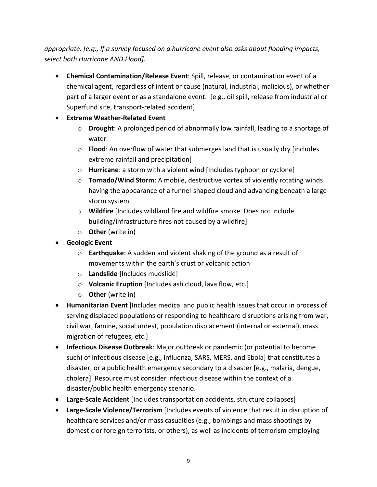*appropriate. [e.g., If a survey focused on a hurricane event also asks about flooding impacts, select both Hurricane AND Flood].* 

- part of a larger event or as a standalone event. [e.g., oil spill, release from industrial or • **Chemical Contamination/Release Event**: Spill, release, or contamination event of a chemical agent, regardless of intent or cause (natural, industrial, malicious), or whether Superfund site, transport-related accident]
- **Extreme Weather-Related Event** 
	- o **Drought**: A prolonged period of abnormally low rainfall, leading to a shortage of water
	- o **Flood**: An overflow of water that submerges land that is usually dry [includes extreme rainfall and precipitation]
	- o **Hurricane**: a storm with a violent wind [Includes typhoon or cyclone]
	- o **Tornado/Wind Storm**: A mobile, destructive vortex of violently rotating winds having the appearance of a funnel-shaped cloud and advancing beneath a large storm system
	- building/infrastructure fires not caused by a wildfire] o **Wildfire** [Includes wildland fire and wildfire smoke. Does not include
	- o **Other** (write in)
- **Geologic Event** 
	- o **Earthquake**: A sudden and violent shaking of the ground as a result of movements within the earth's crust or volcanic action
	- o **Landslide [**Includes mudslide]
	- o **Volcanic Eruption** [Includes ash cloud, lava flow, etc.]
	- o **Other** (write in)
- migration of refugees, etc.] • **Humanitarian Event** [Includes medical and public health issues that occur in process of serving displaced populations or responding to healthcare disruptions arising from war, civil war, famine, social unrest, population displacement (internal or external), mass
- • **Infectious Disease Outbreak**: Major outbreak or pandemic (or potential to become such) of infectious disease [e.g., influenza, SARS, MERS, and Ebola] that constitutes a disaster, or a public health emergency secondary to a disaster [e.g., malaria, dengue, cholera]. Resource must consider infectious disease within the context of a disaster/public health emergency scenario.
- **Large-Scale Accident** [Includes transportation accidents, structure collapses]
- **Large-Scale Violence/Terrorism** [Includes events of violence that result in disruption of healthcare services and/or mass casualties (e.g., bombings and mass shootings by domestic or foreign terrorists, or others), as well as incidents of terrorism employing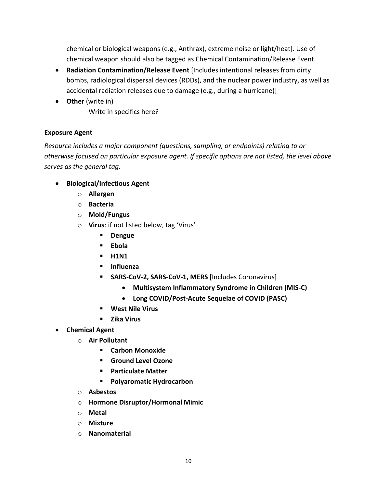chemical or biological weapons (e.g., Anthrax), extreme noise or light/heat]. Use of chemical weapon should also be tagged as Chemical Contamination/Release Event.

- • **Radiation Contamination/Release Event** [Includes intentional releases from dirty bombs, radiological dispersal devices (RDDs), and the nuclear power industry, as well as accidental radiation releases due to damage (e.g., during a hurricane)]
- **Other** (write in) Write in specifics here?

## **Exposure Agent**

*Resource includes a major component (questions, sampling, or endpoints) relating to or otherwise focused on particular exposure agent. If specific options are not listed, the level above serves as the general tag.* 

- **Biological/Infectious Agent** 
	- o **Allergen**
	- o **Bacteria**
	- o **Mold/Fungus**
	- o **Virus**: if not listed below, tag 'Virus'
		- **Dengue**
		- **Ebola**
		- **H1N1**
		- **Influenza**
		- **SARS-CoV-2, SARS-CoV-1, MERS [Includes Coronavirus]** 
			- **Multisystem Inflammatory Syndrome in Children (MIS-C)**
			- **Long COVID/Post-Acute Sequelae of COVID (PASC)**
		- **West Nile Virus**
		- **Zika Virus**
- **Chemical Agent** 
	- o **Air Pollutant** 
		- **Carbon Monoxide**
		- **Ground Level Ozone**
		- **Particulate Matter**
		- **Polyaromatic Hydrocarbon**
	- o **Asbestos**
	- o **Hormone Disruptor/Hormonal Mimic**
	- o **Metal**
	- o **Mixture**
	- o **Nanomaterial**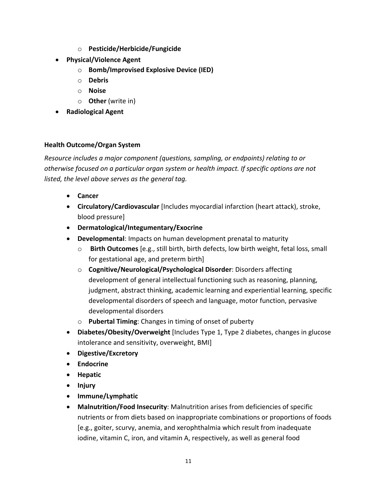- o **Pesticide/Herbicide/Fungicide**
- **Physical/Violence Agent** 
	- o **Bomb/Improvised Explosive Device (IED)**
	- o **Debris**
	- o **Noise**
	- o **Other** (write in)
- **Radiological Agent**

## **Health Outcome/Organ System**

 *otherwise focused on a particular organ system or health impact. If specific options are not Resource includes a major component (questions, sampling, or endpoints) relating to or listed, the level above serves as the general tag.* 

- **Cancer**
- **Circulatory/Cardiovascular** [Includes myocardial infarction (heart attack), stroke, blood pressure]
- **Dermatological/Integumentary/Exocrine**
- **Developmental**: Impacts on human development prenatal to maturity
	- for gestational age, and preterm birth] o **Birth Outcomes** [e.g., still birth, birth defects, low birth weight, fetal loss, small
	- o **Cognitive/Neurological/Psychological Disorder**: Disorders affecting development of general intellectual functioning such as reasoning, planning, judgment, abstract thinking, academic learning and experiential learning, specific developmental disorders of speech and language, motor function, pervasive developmental disorders
	- o **Pubertal Timing**: Changes in timing of onset of puberty
- • **Diabetes/Obesity/Overweight** [Includes Type 1, Type 2 diabetes, changes in glucose intolerance and sensitivity, overweight, BMI]
- **Digestive/Excretory**
- **Endocrine**
- **Hepatic**
- **Injury**
- **Immune/Lymphatic**
- [e.g., goiter, scurvy, anemia, and xerophthalmia which result from inadequate • **Malnutrition/Food Insecurity**: Malnutrition arises from deficiencies of specific nutrients or from diets based on inappropriate combinations or proportions of foods iodine, vitamin C, iron, and vitamin A, respectively, as well as general food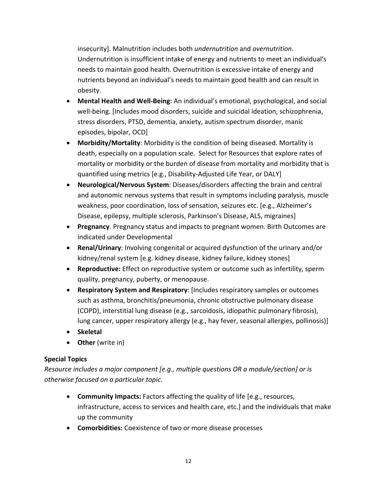insecurity]. Malnutrition includes both *undernutrition* and *overnutrition*. Undernutrition is insufficient intake of energy and nutrients to meet an individual's needs to maintain good health. Overnutrition is excessive intake of energy and nutrients beyond an individual's needs to maintain good health and can result in obesity.

- well-being. [Includes mood disorders, suicide and suicidal ideation, schizophrenia, episodes, bipolar, OCD] • **Mental Health and Well-Being**: An individual's emotional, psychological, and social stress disorders, PTSD, dementia, anxiety, autism spectrum disorder, manic
- death, especially on a population scale. Select for Resources that explore rates of mortality or morbidity or the burden of disease from mortality and morbidity that is • **Morbidity/Mortality**: Morbidity is the condition of being diseased. Mortality is quantified using metrics [e.g., Disability-Adjusted Life Year, or DALY]
- Disease, epilepsy, multiple sclerosis, Parkinson's Disease, ALS, migraines] • **Neurological/Nervous System**: Diseases/disorders affecting the brain and central and autonomic nervous systems that result in symptoms including paralysis, muscle weakness, poor coordination, loss of sensation, seizures etc. [e.g., Alzheimer's
- **Pregnancy**. Pregnancy status and impacts to pregnant women. Birth Outcomes are indicated under Developmental
- **Renal/Urinary**: Involving congenital or acquired dysfunction of the urinary and/or kidney/renal system [e.g. kidney disease, kidney failure, kidney stones]
- **Reproductive:** Effect on reproductive system or outcome such as infertility, sperm quality, pregnancy, puberty, or menopause.
- such as asthma, bronchitis/pneumonia, chronic obstructive pulmonary disease • **Respiratory System and Respiratory**: [Includes respiratory samples or outcomes (COPD), interstitial lung disease (e.g., sarcoidosis, idiopathic pulmonary fibrosis), lung cancer, upper respiratory allergy (e.g., hay fever, seasonal allergies, pollinosis)]
- **Skeletal**
- **Other** (write in)

## **Special Topics**

*Resource includes a major component [e.g., multiple questions OR a module/section] or is otherwise focused on a particular topic.* 

- **Community Impacts:** Factors affecting the quality of life [e.g., resources, infrastructure, access to services and health care, etc.] and the individuals that make up the community
- **Comorbidities:** Coexistence of two or more disease processes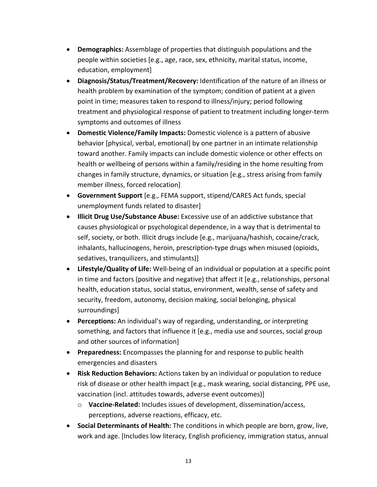- **Demographics:** Assemblage of properties that distinguish populations and the people within societies [e.g., age, race, sex, ethnicity, marital status, income, education, employment]
- **Diagnosis/Status/Treatment/Recovery:** Identification of the nature of an illness or health problem by examination of the symptom; condition of patient at a given point in time; measures taken to respond to illness/injury; period following treatment and physiological response of patient to treatment including longer-term symptoms and outcomes of illness
- behavior [physical, verbal, emotional] by one partner in an intimate relationship • **Domestic Violence/Family Impacts:** Domestic violence is a pattern of abusive toward another. Family impacts can include domestic violence or other effects on health or wellbeing of persons within a family/residing in the home resulting from changes in family structure, dynamics, or situation [e.g., stress arising from family member illness, forced relocation]
- unemployment funds related to disaster] • **Government Support** [e.g., FEMA support, stipend/CARES Act funds, special
- **Illicit Drug Use/Substance Abuse:** Excessive use of an addictive substance that causes physiological or psychological dependence, in a way that is detrimental to self, society, or both. Illicit drugs include [e.g., marijuana/hashish, cocaine/crack, inhalants, hallucinogens, heroin, prescription-type drugs when misused (opioids, sedatives, tranquilizers, and stimulants)]
- **Lifestyle/Quality of Life:** Well-being of an individual or population at a specific point in time and factors (positive and negative) that affect it [e.g., relationships, personal health, education status, social status, environment, wealth, sense of safety and security, freedom, autonomy, decision making, social belonging, physical surroundings]
- and other sources of information] • **Perceptions:** An individual's way of regarding, understanding, or interpreting something, and factors that influence it [e.g., media use and sources, social group
- **Preparedness:** Encompasses the planning for and response to public health emergencies and disasters
- **Risk Reduction Behaviors:** Actions taken by an individual or population to reduce risk of disease or other health impact [e.g., mask wearing, social distancing, PPE use, vaccination (incl. attitudes towards, adverse event outcomes)]
	- o **Vaccine-Related:** Includes issues of development, dissemination/access, perceptions, adverse reactions, efficacy, etc.
- **Social Determinants of Health:** The conditions in which people are born, grow, live, work and age. [Includes low literacy, English proficiency, immigration status, annual